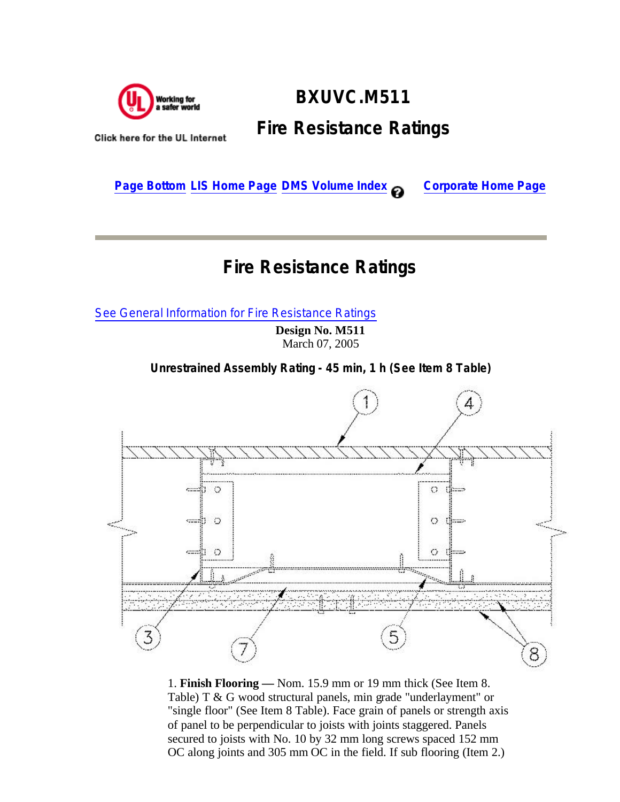

## **BXUVC.M511 Fire Resistance Ratings**

Click here for the UL Internet

**Page Bottom LIS Home Page DMS Volume Index @ Corporate Home Page** 

## **Fire Resistance Ratings**

See General Information for Fire Resistance Ratings

**Design No. M511** March 07, 2005

**Unrestrained Assembly Rating - 45 min, 1 h (See Item 8 Table)**



1. **Finish Flooring —** Nom. 15.9 mm or 19 mm thick (See Item 8. Table) T & G wood structural panels, min grade "underlayment" or "single floor" (See Item 8 Table). Face grain of panels or strength axis of panel to be perpendicular to joists with joints staggered. Panels secured to joists with No. 10 by 32 mm long screws spaced 152 mm OC along joints and 305 mm OC in the field. If sub flooring (Item 2.)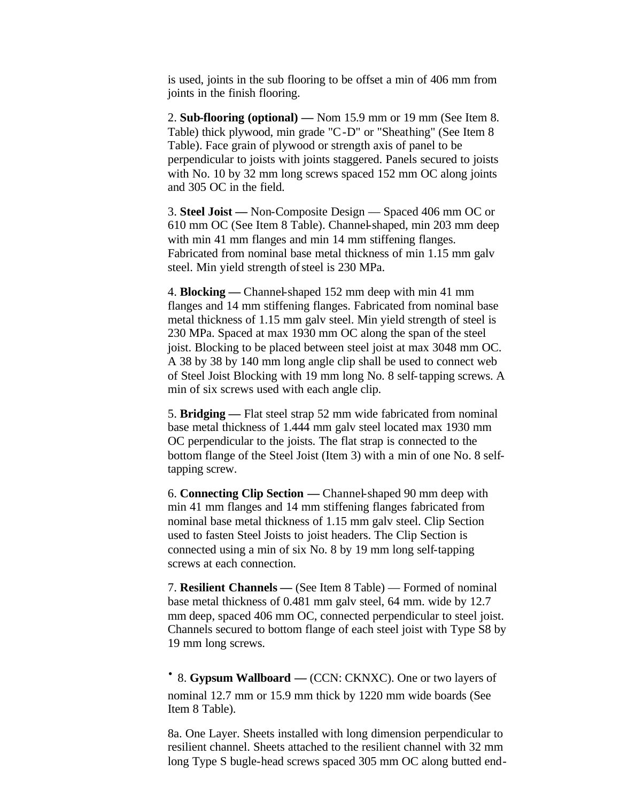is used, joints in the sub flooring to be offset a min of 406 mm from joints in the finish flooring.

2. **Sub-flooring (optional) —** Nom 15.9 mm or 19 mm (See Item 8. Table) thick plywood, min grade "C-D" or "Sheathing" (See Item 8 Table). Face grain of plywood or strength axis of panel to be perpendicular to joists with joints staggered. Panels secured to joists with No. 10 by 32 mm long screws spaced 152 mm OC along joints and 305 OC in the field.

3. **Steel Joist —** Non-Composite Design — Spaced 406 mm OC or 610 mm OC (See Item 8 Table). Channel-shaped, min 203 mm deep with min 41 mm flanges and min 14 mm stiffening flanges. Fabricated from nominal base metal thickness of min 1.15 mm galv steel. Min yield strength of steel is 230 MPa.

4. **Blocking —** Channel-shaped 152 mm deep with min 41 mm flanges and 14 mm stiffening flanges. Fabricated from nominal base metal thickness of 1.15 mm galv steel. Min yield strength of steel is 230 MPa. Spaced at max 1930 mm OC along the span of the steel joist. Blocking to be placed between steel joist at max 3048 mm OC. A 38 by 38 by 140 mm long angle clip shall be used to connect web of Steel Joist Blocking with 19 mm long No. 8 self-tapping screws. A min of six screws used with each angle clip.

5. **Bridging —** Flat steel strap 52 mm wide fabricated from nominal base metal thickness of 1.444 mm galv steel located max 1930 mm OC perpendicular to the joists. The flat strap is connected to the bottom flange of the Steel Joist (Item 3) with a min of one No. 8 selftapping screw.

6. **Connecting Clip Section —** Channel-shaped 90 mm deep with min 41 mm flanges and 14 mm stiffening flanges fabricated from nominal base metal thickness of 1.15 mm galv steel. Clip Section used to fasten Steel Joists to joist headers. The Clip Section is connected using a min of six No. 8 by 19 mm long self-tapping screws at each connection.

7. **Resilient Channels —** (See Item 8 Table) — Formed of nominal base metal thickness of 0.481 mm galv steel, 64 mm. wide by 12.7 mm deep, spaced 406 mm OC, connected perpendicular to steel joist. Channels secured to bottom flange of each steel joist with Type S8 by 19 mm long screws.

· 8. **Gypsum Wallboard —** (CCN: CKNXC). One or two layers of nominal 12.7 mm or 15.9 mm thick by 1220 mm wide boards (See Item 8 Table).

8a. One Layer. Sheets installed with long dimension perpendicular to resilient channel. Sheets attached to the resilient channel with 32 mm long Type S bugle-head screws spaced 305 mm OC along butted end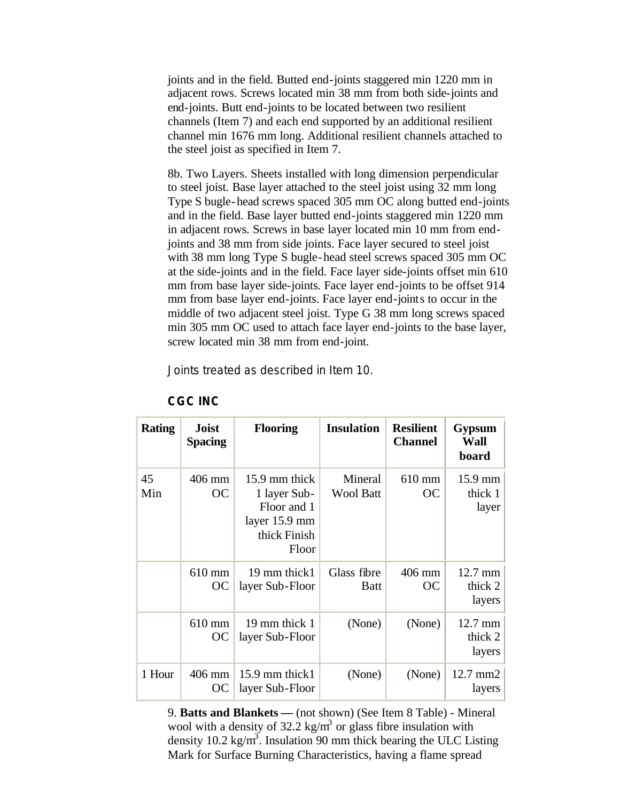joints and in the field. Butted end-joints staggered min 1220 mm in adjacent rows. Screws located min 38 mm from both side-joints and end-joints. Butt end-joints to be located between two resilient channels (Item 7) and each end supported by an additional resilient channel min 1676 mm long. Additional resilient channels attached to the steel joist as specified in Item 7.

8b. Two Layers. Sheets installed with long dimension perpendicular to steel joist. Base layer attached to the steel joist using 32 mm long Type S bugle-head screws spaced 305 mm OC along butted end-joints and in the field. Base layer butted end-joints staggered min 1220 mm in adjacent rows. Screws in base layer located min 10 mm from endjoints and 38 mm from side joints. Face layer secured to steel joist with 38 mm long Type S bugle-head steel screws spaced 305 mm OC at the side-joints and in the field. Face layer side-joints offset min 610 mm from base layer side-joints. Face layer end-joints to be offset 914 mm from base layer end-joints. Face layer end-joints to occur in the middle of two adjacent steel joist. Type G 38 mm long screws spaced min 305 mm OC used to attach face layer end-joints to the base layer, screw located min 38 mm from end-joint.

Joints treated as described in Item 10.

| <b>Rating</b> | <b>Joist</b><br><b>Spacing</b> | <b>Flooring</b>                                                                        | <b>Insulation</b>           | <b>Resilient</b><br><b>Channel</b> | <b>Gypsum</b><br>Wall<br>board           |
|---------------|--------------------------------|----------------------------------------------------------------------------------------|-----------------------------|------------------------------------|------------------------------------------|
| 45<br>Min     | 406 mm<br><b>OC</b>            | 15.9 mm thick<br>1 layer Sub-<br>Floor and 1<br>layer 15.9 mm<br>thick Finish<br>Floor | Mineral<br><b>Wool Batt</b> | 610 mm<br><b>OC</b>                | $15.9 \text{ mm}$<br>thick 1<br>layer    |
|               | 610 mm<br>OС                   | 19 mm thick1<br>layer Sub-Floor                                                        | Glass fibre<br>Batt         | 406 mm<br><b>OC</b>                | $12.7 \text{ mm}$<br>thick $2$<br>layers |
|               | 610 mm<br>ОC                   | 19 mm thick 1<br>layer Sub-Floor                                                       | (None)                      | (None)                             | $12.7 \text{ mm}$<br>thick 2<br>layers   |
| 1 Hour        | 406 mm<br>ОC                   | 15.9 mm thick1<br>layer Sub-Floor                                                      | (None)                      | (None)                             | $12.7 \text{ mm}2$<br>layers             |

## **CGC INC**

9. **Batts and Blankets —** (not shown) (See Item 8 Table) - Mineral wool with a density of  $32.2 \text{ kg/m}^3$  or glass fibre insulation with density 10.2 kg/m<sup>3</sup>. Insulation 90 mm thick bearing the ULC Listing Mark for Surface Burning Characteristics, having a flame spread